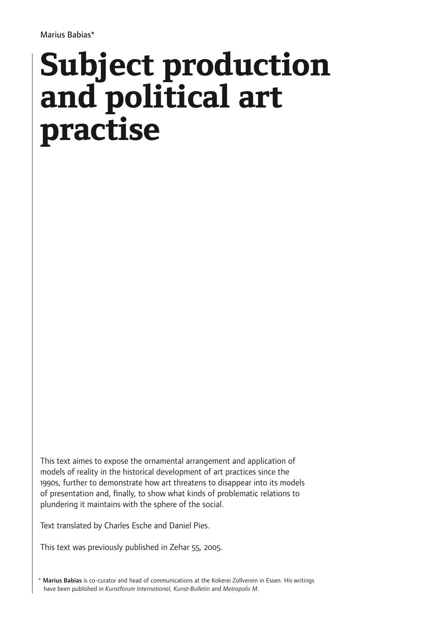# **Subject production and political art practise**

This text aimes to expose the ornamental arrangement and application of models of reality in the historical development of art practices since the 1990s, further to demonstrate how art threatens to disappear into its models of presentation and, finally, to show what kinds of problematic relations to plundering it maintains with the sphere of the social.

Text translated by Charles Esche and Daniel Pies.

This text was previously published in Zehar 55, 2005.

\* Marius Babias is co-curator and head of communications at the Kokerei Zollverein in Essen. His writings have been published in *Kunstforum International*, *Kunst-Bulletin* and *Metropolis M*.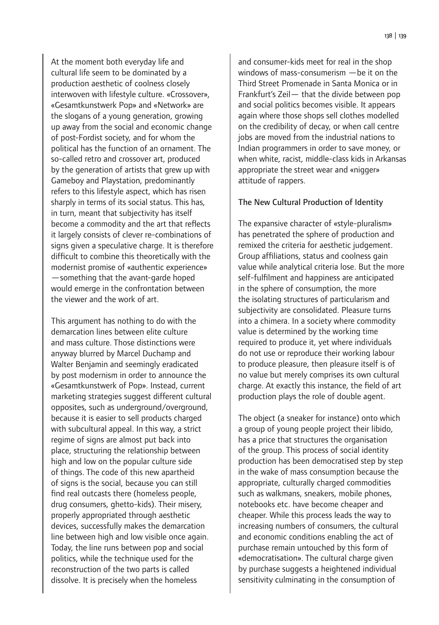138 | 139

At the moment both everyday life and cultural life seem to be dominated by a production aesthetic of coolness closely interwoven with lifestyle culture. «Crossover», «Gesamtkunstwerk Pop» and «Network» are the slogans of a young generation, growing up away from the social and economic change of post-Fordist society, and for whom the political has the function of an ornament. The so-called retro and crossover art, produced by the generation of artists that grew up with Gameboy and Playstation, predominantly refers to this lifestyle aspect, which has risen sharply in terms of its social status. This has, in turn, meant that subjectivity has itself become a commodity and the art that reflects it largely consists of clever re-combinations of signs given a speculative charge. It is therefore difficult to combine this theoretically with the modernist promise of «authentic experience» —something that the avant-garde hoped would emerge in the confrontation between the viewer and the work of art.

This argument has nothing to do with the demarcation lines between elite culture and mass culture. Those distinctions were anyway blurred by Marcel Duchamp and Walter Benjamin and seemingly eradicated by post modernism in order to announce the «Gesamtkunstwerk of Pop». Instead, current marketing strategies suggest different cultural opposites, such as underground/overground, because it is easier to sell products charged with subcultural appeal. In this way, a strict regime of signs are almost put back into place, structuring the relationship between high and low on the popular culture side of things. The code of this new apartheid of signs is the social, because you can still find real outcasts there (homeless people, drug consumers, ghetto-kids). Their misery, properly appropriated through aesthetic devices, successfully makes the demarcation line between high and low visible once again. Today, the line runs between pop and social politics, while the technique used for the reconstruction of the two parts is called dissolve. It is precisely when the homeless

and consumer-kids meet for real in the shop windows of mass-consumerism —be it on the Third Street Promenade in Santa Monica or in Frankfurt's Zeil— that the divide between pop and social politics becomes visible. It appears again where those shops sell clothes modelled on the credibility of decay, or when call centre jobs are moved from the industrial nations to Indian programmers in order to save money, or when white, racist, middle-class kids in Arkansas appropriate the street wear and «nigger» attitude of rappers.

#### The New Cultural Production of Identity

The expansive character of «style-pluralism» has penetrated the sphere of production and remixed the criteria for aesthetic judgement. Group affiliations, status and coolness gain value while analytical criteria lose. But the more self-fulfilment and happiness are anticipated in the sphere of consumption, the more the isolating structures of particularism and subjectivity are consolidated. Pleasure turns into a chimera. In a society where commodity value is determined by the working time required to produce it, yet where individuals do not use or reproduce their working labour to produce pleasure, then pleasure itself is of no value but merely comprises its own cultural charge. At exactly this instance, the field of art production plays the role of double agent.

The object (a sneaker for instance) onto which a group of young people project their libido, has a price that structures the organisation of the group. This process of social identity production has been democratised step by step in the wake of mass consumption because the appropriate, culturally charged commodities such as walkmans, sneakers, mobile phones, notebooks etc. have become cheaper and cheaper. While this process leads the way to increasing numbers of consumers, the cultural and economic conditions enabling the act of purchase remain untouched by this form of «democratisation». The cultural charge given by purchase suggests a heightened individual sensitivity culminating in the consumption of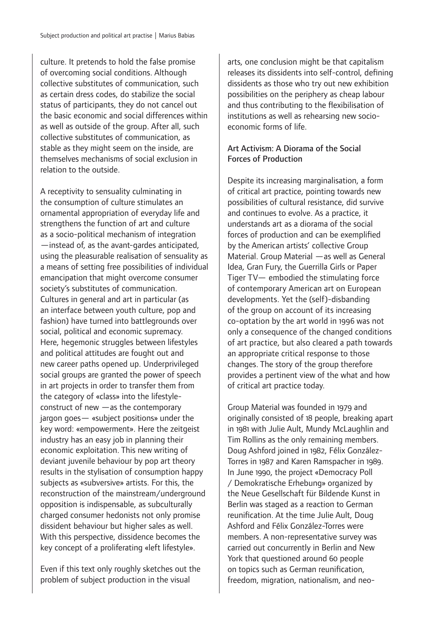culture. It pretends to hold the false promise of overcoming social conditions. Although collective substitutes of communication, such as certain dress codes, do stabilize the social status of participants, they do not cancel out the basic economic and social differences within as well as outside of the group. After all, such collective substitutes of communication, as stable as they might seem on the inside, are themselves mechanisms of social exclusion in relation to the outside.

A receptivity to sensuality culminating in the consumption of culture stimulates an ornamental appropriation of everyday life and strengthens the function of art and culture as a socio-political mechanism of integration —instead of, as the avant-gardes anticipated, using the pleasurable realisation of sensuality as a means of setting free possibilities of individual emancipation that might overcome consumer society's substitutes of communication. Cultures in general and art in particular (as an interface between youth culture, pop and fashion) have turned into battlegrounds over social, political and economic supremacy. Here, hegemonic struggles between lifestyles and political attitudes are fought out and new career paths opened up. Underprivileged social groups are granted the power of speech in art projects in order to transfer them from the category of «class» into the lifestyleconstruct of new —as the contemporary jargon goes— «subject positions» under the key word: «empowerment». Here the zeitgeist industry has an easy job in planning their economic exploitation. This new writing of deviant juvenile behaviour by pop art theory results in the stylisation of consumption happy subjects as «subversive» artists. For this, the reconstruction of the mainstream/underground opposition is indispensable, as subculturally charged consumer hedonists not only promise dissident behaviour but higher sales as well. With this perspective, dissidence becomes the key concept of a proliferating «left lifestyle».

Even if this text only roughly sketches out the problem of subject production in the visual

arts, one conclusion might be that capitalism releases its dissidents into self-control, defining dissidents as those who try out new exhibition possibilities on the periphery as cheap labour and thus contributing to the flexibilisation of institutions as well as rehearsing new socioeconomic forms of life.

## Art Activism: A Diorama of the Social Forces of Production

Despite its increasing marginalisation, a form of critical art practice, pointing towards new possibilities of cultural resistance, did survive and continues to evolve. As a practice, it understands art as a diorama of the social forces of production and can be exemplified by the American artists' collective Group Material. Group Material —as well as General Idea, Gran Fury, the Guerrilla Girls or Paper Tiger TV— embodied the stimulating force of contemporary American art on European developments. Yet the (self)-disbanding of the group on account of its increasing co-optation by the art world in 1996 was not only a consequence of the changed conditions of art practice, but also cleared a path towards an appropriate critical response to those changes. The story of the group therefore provides a pertinent view of the what and how of critical art practice today.

Group Material was founded in 1979 and originally consisted of 18 people, breaking apart in 1981 with Julie Ault, Mundy McLaughlin and Tim Rollins as the only remaining members. Doug Ashford joined in 1982, Félix González-Torres in 1987 and Karen Ramspacher in 1989. In June 1990, the project «Democracy Poll / Demokratische Erhebung» organized by the Neue Gesellschaft für Bildende Kunst in Berlin was staged as a reaction to German reunification. At the time Julie Ault, Doug Ashford and Félix González-Torres were members. A non-representative survey was carried out concurrently in Berlin and New York that questioned around 60 people on topics such as German reunification, freedom, migration, nationalism, and neo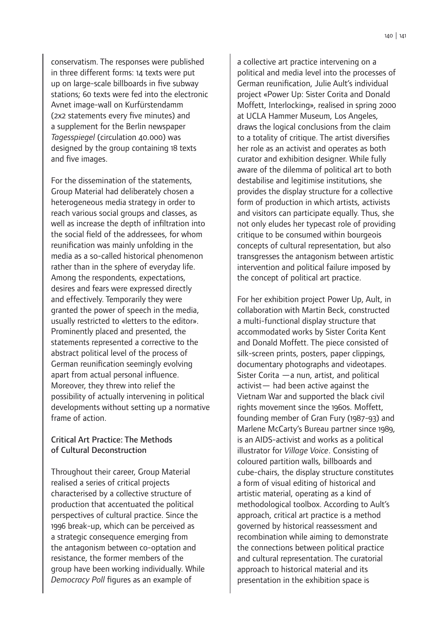conservatism. The responses were published in three different forms: 14 texts were put up on large-scale billboards in five subway stations; 60 texts were fed into the electronic Avnet image-wall on Kurfürstendamm (2x2 statements every five minutes) and a supplement for the Berlin newspaper *Tagesspiegel* (circulation 40.000) was designed by the group containing 18 texts and five images.

For the dissemination of the statements, Group Material had deliberately chosen a heterogeneous media strategy in order to reach various social groups and classes, as well as increase the depth of infiltration into the social field of the addressees, for whom reunification was mainly unfolding in the media as a so-called historical phenomenon rather than in the sphere of everyday life. Among the respondents, expectations, desires and fears were expressed directly and effectively. Temporarily they were granted the power of speech in the media, usually restricted to «letters to the editor». Prominently placed and presented, the statements represented a corrective to the abstract political level of the process of German reunification seemingly evolving apart from actual personal influence. Moreover, they threw into relief the possibility of actually intervening in political developments without setting up a normative frame of action.

### Critical Art Practice: The Methods of Cultural Deconstruction

Throughout their career, Group Material realised a series of critical projects characterised by a collective structure of production that accentuated the political perspectives of cultural practice. Since the 1996 break-up, which can be perceived as a strategic consequence emerging from the antagonism between co-optation and resistance, the former members of the group have been working individually. While *Democracy Poll* figures as an example of

a collective art practice intervening on a political and media level into the processes of German reunification, Julie Ault's individual project «Power Up: Sister Corita and Donald Moffett, Interlocking», realised in spring 2000 at UCLA Hammer Museum, Los Angeles, draws the logical conclusions from the claim to a totality of critique. The artist diversifies her role as an activist and operates as both curator and exhibition designer. While fully aware of the dilemma of political art to both destabilise and legitimise institutions, she provides the display structure for a collective form of production in which artists, activists and visitors can participate equally. Thus, she not only eludes her typecast role of providing critique to be consumed within bourgeois concepts of cultural representation, but also transgresses the antagonism between artistic intervention and political failure imposed by the concept of political art practice.

For her exhibition project Power Up, Ault, in collaboration with Martin Beck, constructed a multi-functional display structure that accommodated works by Sister Corita Kent and Donald Moffett. The piece consisted of silk-screen prints, posters, paper clippings, documentary photographs and videotapes. Sister Corita —a nun, artist, and political activist— had been active against the Vietnam War and supported the black civil rights movement since the 1960s. Moffett, founding member of Gran Fury (1987-93) and Marlene McCarty's Bureau partner since 1989, is an AIDS-activist and works as a political illustrator for *Village Voice*. Consisting of coloured partition walls, billboards and cube-chairs, the display structure constitutes a form of visual editing of historical and artistic material, operating as a kind of methodological toolbox. According to Ault's approach, critical art practice is a method governed by historical reassessment and recombination while aiming to demonstrate the connections between political practice and cultural representation. The curatorial approach to historical material and its presentation in the exhibition space is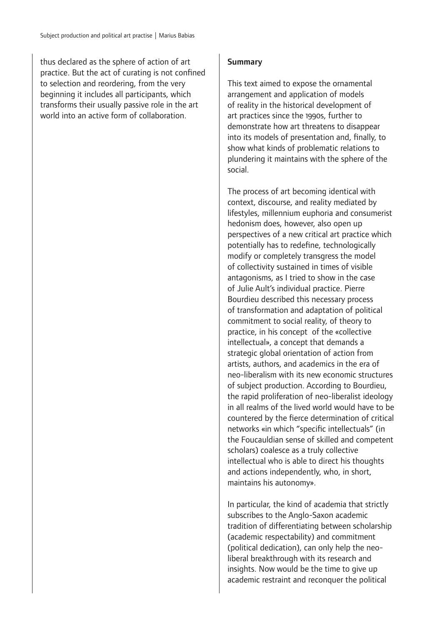thus declared as the sphere of action of art practice. But the act of curating is not confined to selection and reordering, from the very beginning it includes all participants, which transforms their usually passive role in the art world into an active form of collaboration.

#### **Summary**

This text aimed to expose the ornamental arrangement and application of models of reality in the historical development of art practices since the 1990s, further to demonstrate how art threatens to disappear into its models of presentation and, finally, to show what kinds of problematic relations to plundering it maintains with the sphere of the social.

The process of art becoming identical with context, discourse, and reality mediated by lifestyles, millennium euphoria and consumerist hedonism does, however, also open up perspectives of a new critical art practice which potentially has to redefine, technologically modify or completely transgress the model of collectivity sustained in times of visible antagonisms, as I tried to show in the case of Julie Ault's individual practice. Pierre Bourdieu described this necessary process of transformation and adaptation of political commitment to social reality, of theory to practice, in his concept of the «collective intellectual», a concept that demands a strategic global orientation of action from artists, authors, and academics in the era of neo-liberalism with its new economic structures of subject production. According to Bourdieu, the rapid proliferation of neo-liberalist ideology in all realms of the lived world would have to be countered by the fierce determination of critical networks «in which "specific intellectuals" (in the Foucauldian sense of skilled and competent scholars) coalesce as a truly collective intellectual who is able to direct his thoughts and actions independently, who, in short, maintains his autonomy».

In particular, the kind of academia that strictly subscribes to the Anglo-Saxon academic tradition of differentiating between scholarship (academic respectability) and commitment (political dedication), can only help the neoliberal breakthrough with its research and insights. Now would be the time to give up academic restraint and reconquer the political